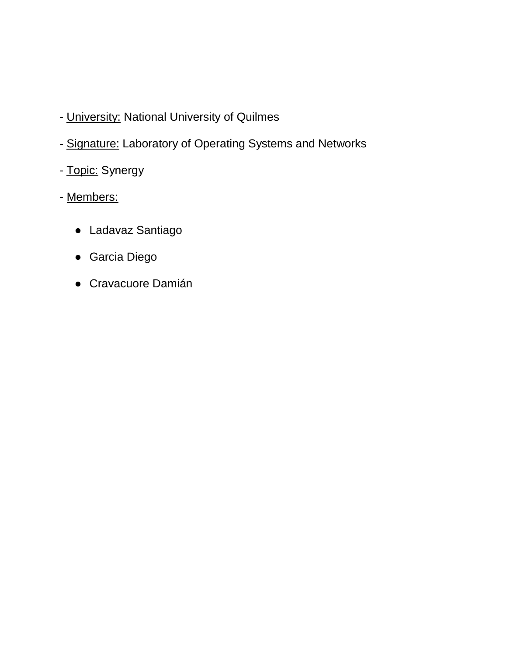- University: National University of Quilmes
- Signature: Laboratory of Operating Systems and Networks
- Topic: Synergy
- Members:
	- Ladavaz Santiago
	- Garcia Diego
	- Cravacuore Damián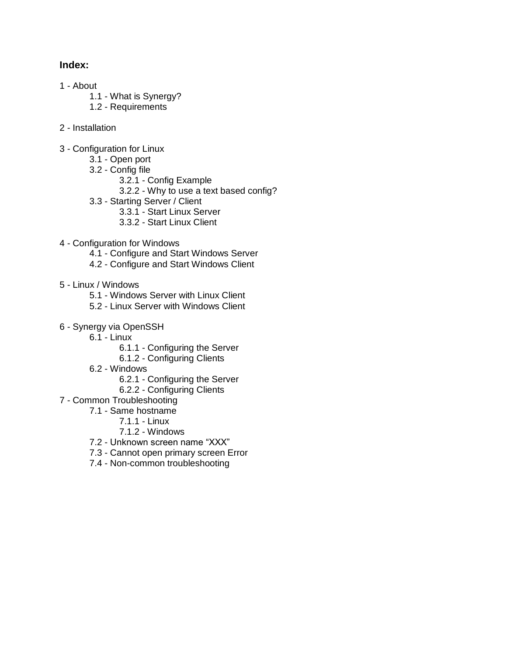#### **Index:**

- 1 About
	- 1.1 What is Synergy?
	- 1.2 Requirements
- 2 Installation
- 3 Configuration for Linux
	- 3.1 Open port
	- 3.2 Config file
		- 3.2.1 Config Example
		- 3.2.2 Why to use a text based config?
	- 3.3 Starting Server / Client
		- 3.3.1 Start Linux Server
		- 3.3.2 Start Linux Client
- 4 Configuration for Windows
	- 4.1 Configure and Start Windows Server
	- 4.2 Configure and Start Windows Client
- 5 Linux / Windows
	- 5.1 Windows Server with Linux Client
	- 5.2 Linux Server with Windows Client
- 6 Synergy via OpenSSH
	- $6.1 -$  Linux
		- 6.1.1 Configuring the Server
		- 6.1.2 Configuring Clients
		- 6.2 Windows
			- 6.2.1 Configuring the Server
			- 6.2.2 Configuring Clients
- 7 Common Troubleshooting
	- 7.1 Same hostname
		- 7.1.1 Linux
		- 7.1.2 Windows
	- 7.2 Unknown screen name "XXX"
	- 7.3 Cannot open primary screen Error
	- 7.4 Non-common troubleshooting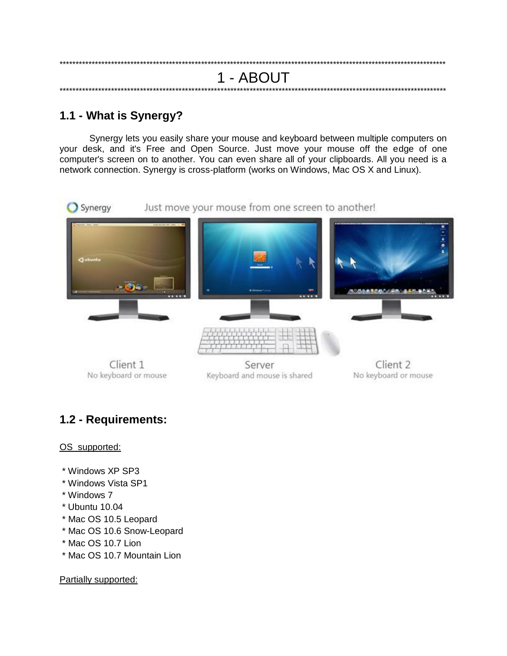# 1 - ABOUT

# 1.1 - What is Synergy?

Synergy lets you easily share your mouse and keyboard between multiple computers on your desk, and it's Free and Open Source. Just move your mouse off the edge of one computer's screen on to another. You can even share all of your clipboards. All you need is a network connection. Synergy is cross-platform (works on Windows, Mac OS X and Linux).



No keyboard or mouse

Keyboard and mouse is shared

No keyboard or mouse

# 1.2 - Requirements:

#### OS supported:

- \* Windows XP SP3
- \* Windows Vista SP1
- \* Windows 7
- \* Ubuntu 10.04
- \* Mac OS 10.5 Leopard
- \* Mac OS 10.6 Snow-Leopard
- \* Mac OS 10.7 Lion
- \* Mac OS 10.7 Mountain Lion

Partially supported: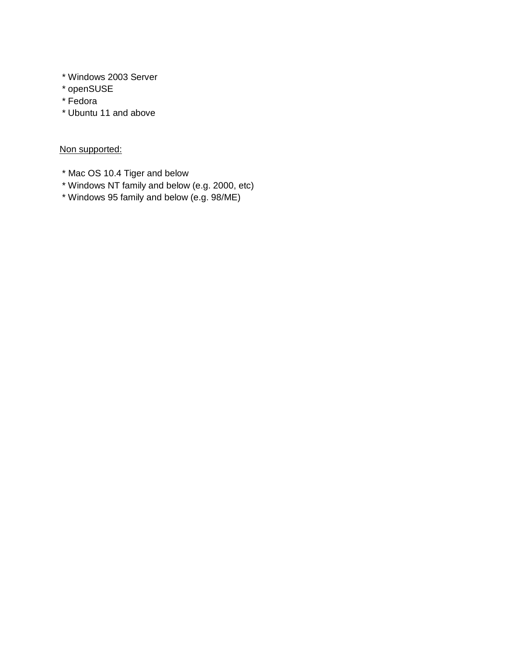- \* Windows 2003 Server
- \* openSUSE
- \* Fedora
- \* Ubuntu 11 and above

### Non supported:

- \* Mac OS 10.4 Tiger and below
- \* Windows NT family and below (e.g. 2000, etc)
- \* Windows 95 family and below (e.g. 98/ME)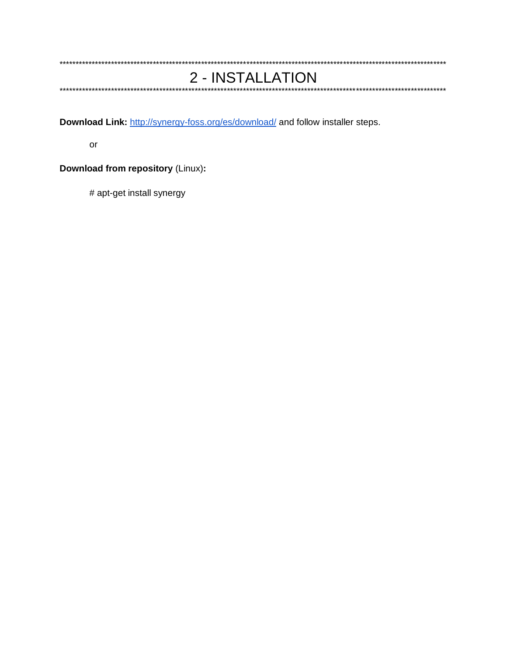#### 2 - INSTALLATION

\*\*\*\*\*\*\*\*\*\*\*\*\*\*\*\*\*\*\*\*\*\*\*\*\*\*\*\*\*\*\*\*\*\*\*\*\*\*

Download Link: http://synergy-foss.org/es/download/ and follow installer steps.

or

**Download from repository (Linux):** 

# apt-get install synergy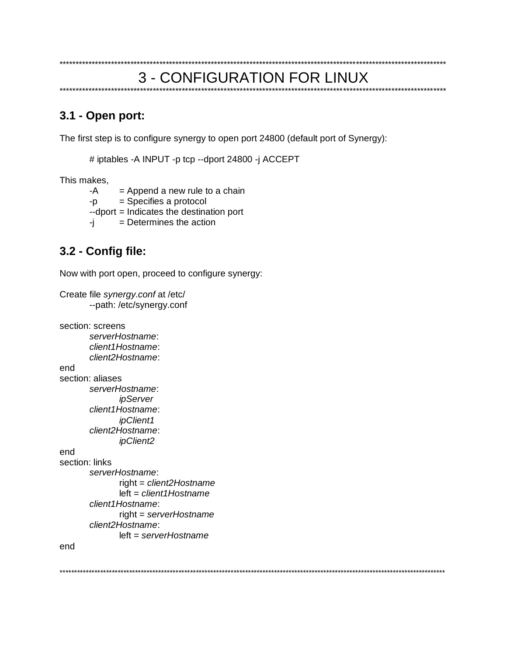#### **3 - CONFIGURATION FOR LINUX** \*\*\*\*\*\*\*\*\*\*\*\*\*\*\*\*\*\*\*\*\*\*\*\*\*

# 3.1 - Open port:

The first step is to configure synergy to open port 24800 (default port of Synergy):

# iptables -A INPUT -p tcp --dport 24800 -j ACCEPT

This makes,

 $-A$  $=$  Append a new rule to a chain

 $=$  Specifies a protocol -p

--dport = Indicates the destination port

= Determines the action Fİ.

# 3.2 - Config file:

Now with port open, proceed to configure synergy:

```
Create file synergy.conf at /etc/
       --path: /etc/synergy.conf
section: screens
       serverHostname:
       client1Hostname:
       client2Hostname:
end
section: aliases
       serverHostname:
              ipServer
       client1Hostname:
              ipClient1
       client2Hostname:
              ipClient2
end
section: links
       serverHostname:
              right = client2Hostname
              left = client1Hostnameclient1Hostname:
              right = serverHostnameclient2Hostname:
              left = serverHostnameend
```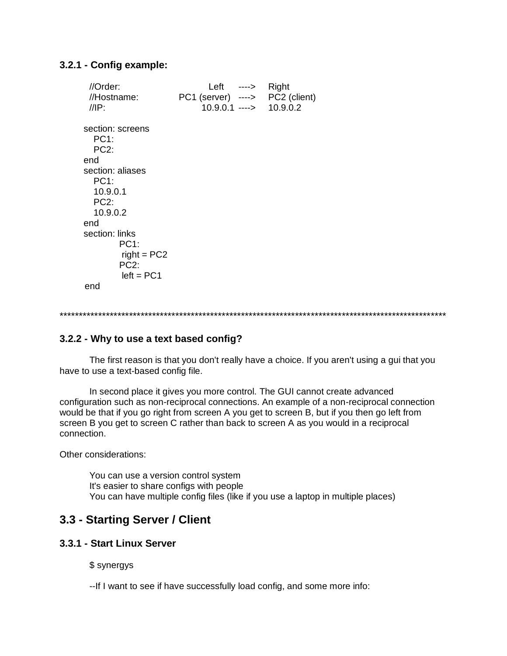#### **3.2.1 - Config example:**

//Order: Left ----> Right<br>//Hostname: PC1 (server) ----> PC2 (client)  $//$ Hostname:  $PC1$  (server) [---->](http://synergy-foss.org/wiki/IOS_Client) //IP: 10.9.0.1 ----> 10.9.0.2 [section: scr](http://synergy-foss.org/wiki/IOS_Client)eens PC1: PC2: end section: aliases PC1: 10.9.0.1  $PC2$  10.9.0.2 end section: links PC1:  $right = PC2$ PC<sub>2</sub>:  $left = PC1$ end

```
****************************************************************************************************
```
#### **3.2.2 - Why to use a text based config?**

The first reason is that you don't really have a choice. If you aren't using a gui that you have to use a text-based config file.

In second place it gives you more control. The GUI cannot create advanced configuration such as non-reciprocal connections. An example of a non-reciprocal connection would be that if you go right from screen A you get to screen B, but if you then go left from screen B you get to screen C rather than back to screen A as you would in a reciprocal connection.

Other considerations:

You can use a version control system It's easier to share configs with people You can have multiple config files (like if you use a laptop in multiple places)

# **3.3 - Starting Server / Client**

#### **3.3.1 - Start Linux Server**

\$ synergys

--If I want to see if have successfully load config, and some more info: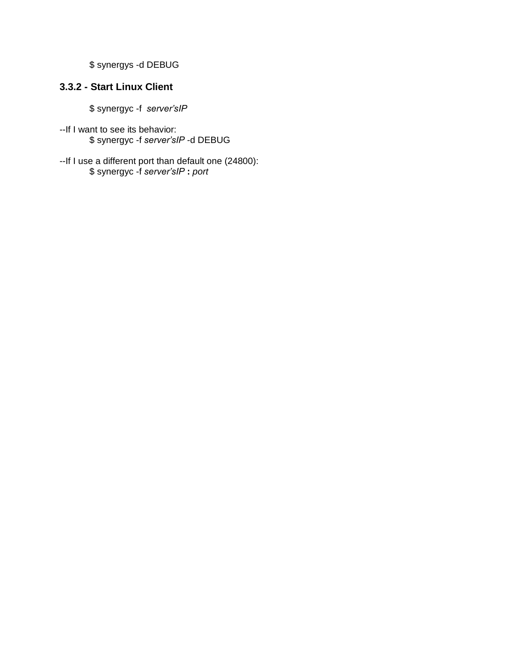\$ synergys -d DEBUG

# **3.3.2 - Start Linux Client**

\$ synergyc -f *server'sIP*

- --If I want to see its behavior: \$ synergyc -f *server'sIP* -d DEBUG
- --If I use a different port than default one (24800): \$ synergyc -f *server'sIP* **:** *port*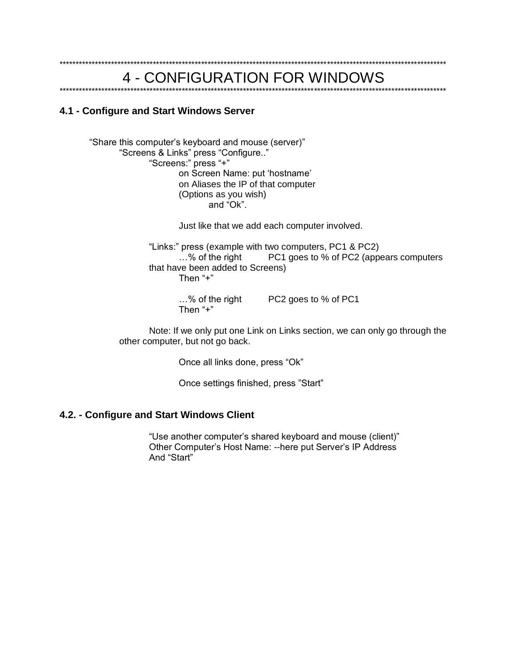# 4 - CONFIGURATION FOR WINDOWS

#### 4.1 - Configure and Start Windows Server

"Share this computer's keyboard and mouse (server)" "Screens & Links" press "Configure.." "Screens:" press "+" on Screen Name: put 'hostname' on Aliases the IP of that computer (Options as you wish) and "Ok".

Just like that we add each computer involved.

"Links:" press (example with two computers, PC1 & PC2) ...% of the right PC1 goes to % of PC2 (appears computers that have been added to Screens) Then "+"

> $...$ % of the right PC2 goes to % of PC1 Then  $4 + 7$

Note: If we only put one Link on Links section, we can only go through the other computer, but not go back.

Once all links done, press "Ok"

Once settings finished, press "Start"

#### 4.2. - Configure and Start Windows Client

"Use another computer's shared keyboard and mouse (client)" Other Computer's Host Name: -- here put Server's IP Address And "Start"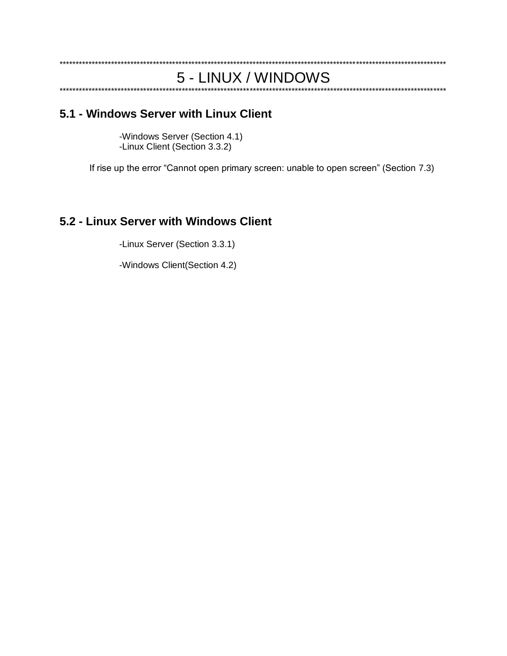#### 5 - LINUX / WINDOWS

# 5.1 - Windows Server with Linux Client

-Windows Server (Section 4.1) -Linux Client (Section 3.3.2)

If rise up the error "Cannot open primary screen: unable to open screen" (Section 7.3)

# 5.2 - Linux Server with Windows Client

-Linux Server (Section 3.3.1)

-Windows Client(Section 4.2)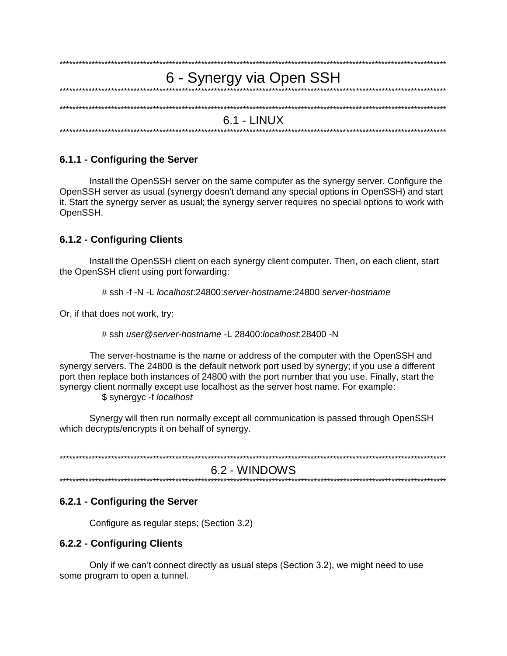| 6 - Synergy via Open SSH |
|--------------------------|
|                          |
|                          |
|                          |
| $6.1 - LINUX$            |
|                          |

#### 6.1.1 - Configuring the Server

Install the OpenSSH server on the same computer as the synergy server. Configure the OpenSSH server as usual (synergy doesn't demand any special options in OpenSSH) and start it. Start the synergy server as usual; the synergy server requires no special options to work with OpenSSH.

#### 6.1.2 - Configuring Clients

Install the OpenSSH client on each synergy client computer. Then, on each client, start the OpenSSH client using port forwarding:

# ssh -f -N -L localhost:24800:server-hostname:24800 server-hostname

Or, if that does not work, try:

# ssh user@server-hostname -1 28400 localhost 28400 -N

The server-hostname is the name or address of the computer with the OpenSSH and synergy servers. The 24800 is the default network port used by synergy; if you use a different port then replace both instances of 24800 with the port number that you use. Finally, start the synergy client normally except use localhost as the server host name. For example:

\$ synergyc -f localhost

Synergy will then run normally except all communication is passed through OpenSSH which decrypts/encrypts it on behalf of synergy.

6.2 - WINDOWS

#### 6.2.1 - Configuring the Server

Configure as regular steps; (Section 3.2)

#### 6.2.2 - Configuring Clients

Only if we can't connect directly as usual steps (Section 3.2), we might need to use some program to open a tunnel.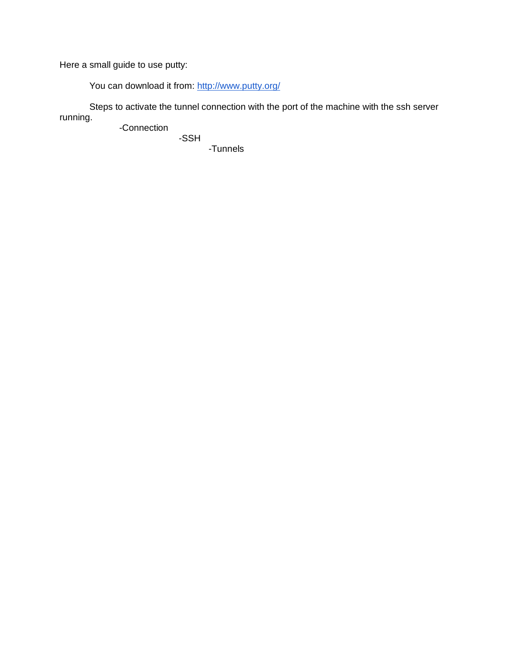Here a small guide to use putty:

You can download it from: [http://w](http://www.putty.org/)w[w.p](http://www.putty.org/)utt[y.o](http://www.putty.org/)r[g/](http://www.putty.org/)

Steps to activate the tunnel connection with the port of the machine with the ssh server running.

-Connection -SSH

-Tunnels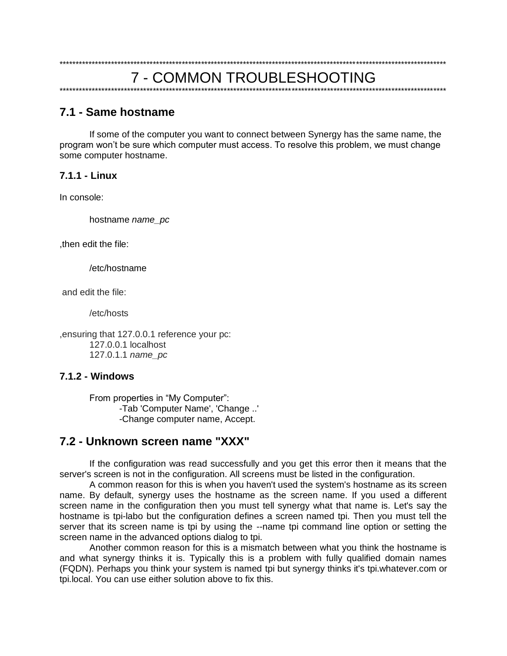# 7.1 - Same hostname

If some of the computer you want to connect between Synergy has the same name, the program won't be sure which computer must access. To resolve this problem, we must change some computer hostname.

#### $711 \overline{1}$  inux

In console:

hostname name pc

, then edit the file:

/etc/hostname

and edit the file:

/etc/hosts

, ensuring that 127.0.0.1 reference your pc: 127.0.0.1 localhost 127.0.1.1 name pc

#### $7.1.2 - Windows$

From properties in "My Computer": -Tab 'Computer Name', 'Change ..' -Change computer name, Accept.

# 7.2 - Unknown screen name "XXX"

If the configuration was read successfully and you get this error then it means that the server's screen is not in the configuration. All screens must be listed in the configuration.

A common reason for this is when you haven't used the system's hostname as its screen name. By default, synergy uses the hostname as the screen name. If you used a different screen name in the configuration then you must tell synergy what that name is. Let's say the hostname is tpi-labo but the configuration defines a screen named tpi. Then you must tell the server that its screen name is tpi by using the --name tpi command line option or setting the screen name in the advanced options dialog to tpi.

Another common reason for this is a mismatch between what you think the hostname is and what synergy thinks it is. Typically this is a problem with fully qualified domain names (FQDN). Perhaps you think your system is named tpi but synergy thinks it's tpi.whatever.com or tpi.local. You can use either solution above to fix this.